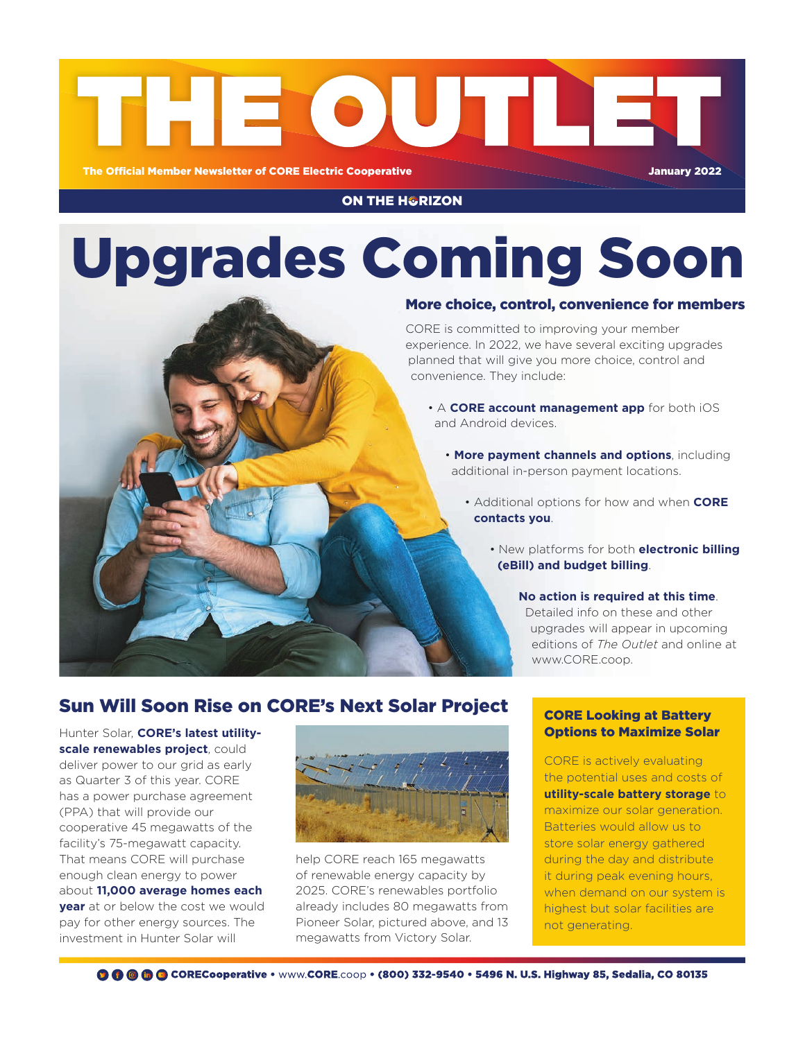

#### **ON THE H&RIZON**

# Upgrades Coming Soon

#### More choice, control, convenience for members

CORE is committed to improving your member experience. In 2022, we have several exciting upgrades planned that will give you more choice, control and convenience. They include:

- A **CORE account management app** for both iOS and Android devices.
	- **More payment channels and options**, including additional in-person payment locations.
		- Additional options for how and when **CORE contacts you**.
			- New platforms for both **electronic billing (eBill) and budget billing**.

#### **No action is required at this time**.

Detailed info on these and other upgrades will appear in upcoming editions of *The Outlet* and online at www.CORE.coop.

#### Sun Will Soon Rise on CORE's Next Solar Project

Hunter Solar, **CORE's latest utilityscale renewables project**, could deliver power to our grid as early as Quarter 3 of this year. CORE has a power purchase agreement (PPA) that will provide our cooperative 45 megawatts of the facility's 75-megawatt capacity. That means CORE will purchase enough clean energy to power about **11,000 average homes each year** at or below the cost we would pay for other energy sources. The investment in Hunter Solar will



help CORE reach 165 megawatts of renewable energy capacity by 2025. CORE's renewables portfolio already includes 80 megawatts from Pioneer Solar, pictured above, and 13 megawatts from Victory Solar.

#### CORE Looking at Battery Options to Maximize Solar

CORE is actively evaluating the potential uses and costs of **utility-scale battery storage** to maximize our solar generation. Batteries would allow us to store solar energy gathered during the day and distribute it during peak evening hours, when demand on our system is highest but solar facilities are not generating.